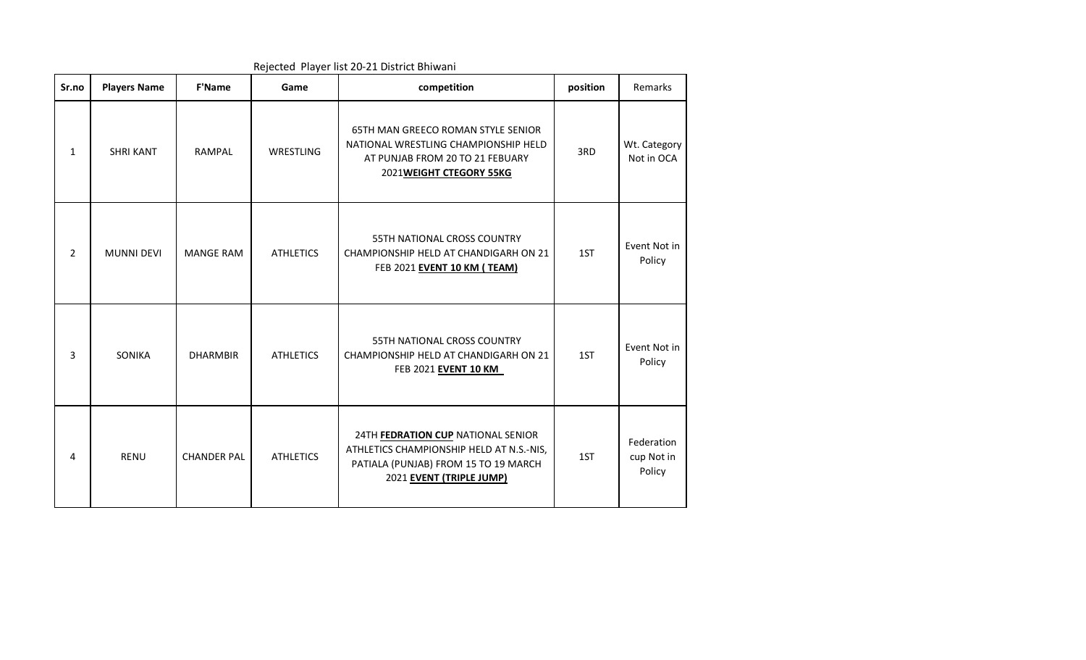| Sr.no          | <b>Players Name</b> | <b>F'Name</b>      | Game             | competition                                                                                                                                        | position | Remarks                            |
|----------------|---------------------|--------------------|------------------|----------------------------------------------------------------------------------------------------------------------------------------------------|----------|------------------------------------|
| $\mathbf{1}$   | <b>SHRI KANT</b>    | RAMPAL             | WRESTLING        | 65TH MAN GREECO ROMAN STYLE SENIOR<br>NATIONAL WRESTLING CHAMPIONSHIP HELD<br>AT PUNJAB FROM 20 TO 21 FEBUARY<br>2021WEIGHT CTEGORY 55KG           | 3RD      | Wt. Category<br>Not in OCA         |
| $\overline{2}$ | <b>MUNNI DEVI</b>   | <b>MANGE RAM</b>   | <b>ATHLETICS</b> | <b>55TH NATIONAL CROSS COUNTRY</b><br>CHAMPIONSHIP HELD AT CHANDIGARH ON 21<br>FEB 2021 EVENT 10 KM (TEAM)                                         | 1ST      | Event Not in<br>Policy             |
| $\overline{3}$ | SONIKA              | <b>DHARMBIR</b>    | <b>ATHLETICS</b> | <b>55TH NATIONAL CROSS COUNTRY</b><br>CHAMPIONSHIP HELD AT CHANDIGARH ON 21<br>FEB 2021 EVENT 10 KM                                                | 1ST      | Event Not in<br>Policy             |
| 4              | <b>RENU</b>         | <b>CHANDER PAL</b> | <b>ATHLETICS</b> | 24TH FEDRATION CUP NATIONAL SENIOR<br>ATHLETICS CHAMPIONSHIP HELD AT N.S.-NIS,<br>PATIALA (PUNJAB) FROM 15 TO 19 MARCH<br>2021 EVENT (TRIPLE JUMP) | 1ST      | Federation<br>cup Not in<br>Policy |

Rejected Player list 20-21 District Bhiwani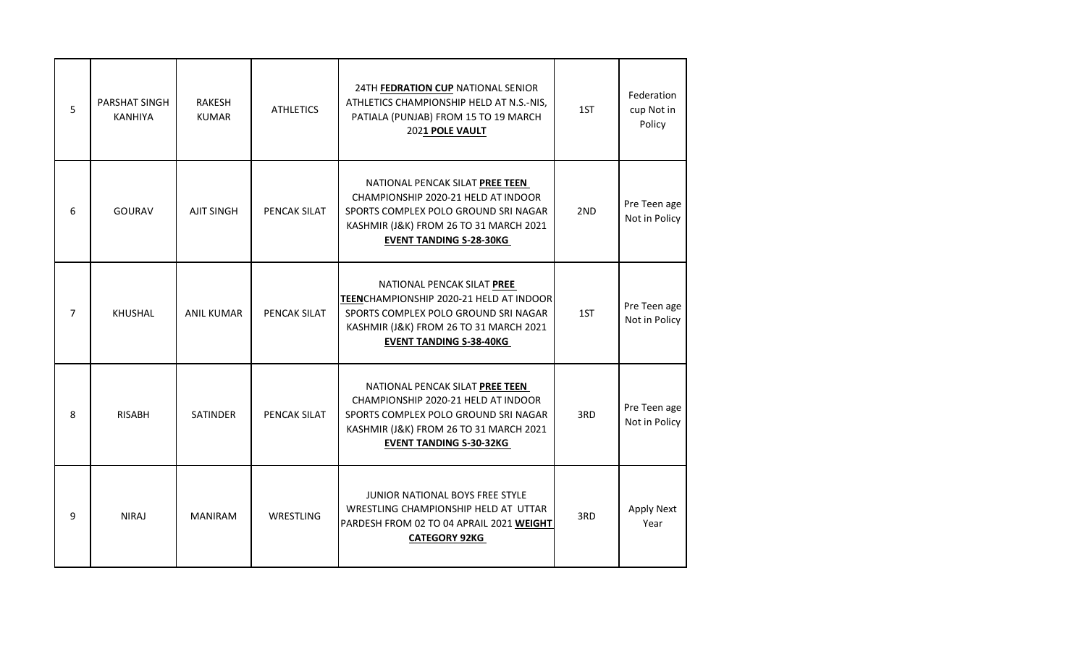| 5              | PARSHAT SINGH<br><b>KANHIYA</b> | <b>RAKESH</b><br><b>KUMAR</b> | <b>ATHLETICS</b> | 24TH FEDRATION CUP NATIONAL SENIOR<br>ATHLETICS CHAMPIONSHIP HELD AT N.S.-NIS,<br>PATIALA (PUNJAB) FROM 15 TO 19 MARCH<br>2021 POLE VAULT                                                  | 1ST | Federation<br>cup Not in<br>Policy |
|----------------|---------------------------------|-------------------------------|------------------|--------------------------------------------------------------------------------------------------------------------------------------------------------------------------------------------|-----|------------------------------------|
| 6              | <b>GOURAV</b>                   | <b>AJIT SINGH</b>             | PENCAK SILAT     | NATIONAL PENCAK SILAT PREE TEEN<br>CHAMPIONSHIP 2020-21 HELD AT INDOOR<br>SPORTS COMPLEX POLO GROUND SRI NAGAR<br>KASHMIR (J&K) FROM 26 TO 31 MARCH 2021<br><b>EVENT TANDING S-28-30KG</b> | 2ND | Pre Teen age<br>Not in Policy      |
| $\overline{7}$ | <b>KHUSHAL</b>                  | <b>ANIL KUMAR</b>             | PENCAK SILAT     | NATIONAL PENCAK SILAT PREE<br>TEENCHAMPIONSHIP 2020-21 HELD AT INDOOR<br>SPORTS COMPLEX POLO GROUND SRI NAGAR<br>KASHMIR (J&K) FROM 26 TO 31 MARCH 2021<br><b>EVENT TANDING S-38-40KG</b>  | 1ST | Pre Teen age<br>Not in Policy      |
| 8              | <b>RISABH</b>                   | <b>SATINDER</b>               | PENCAK SILAT     | NATIONAL PENCAK SILAT PREE TEEN<br>CHAMPIONSHIP 2020-21 HELD AT INDOOR<br>SPORTS COMPLEX POLO GROUND SRI NAGAR<br>KASHMIR (J&K) FROM 26 TO 31 MARCH 2021<br><b>EVENT TANDING S-30-32KG</b> | 3RD | Pre Teen age<br>Not in Policy      |
| 9              | <b>NIRAJ</b>                    | <b>MANIRAM</b>                | WRESTLING        | <b>JUNIOR NATIONAL BOYS FREE STYLE</b><br>WRESTLING CHAMPIONSHIP HELD AT UTTAR<br>PARDESH FROM 02 TO 04 APRAIL 2021 WEIGHT<br><b>CATEGORY 92KG</b>                                         | 3RD | <b>Apply Next</b><br>Year          |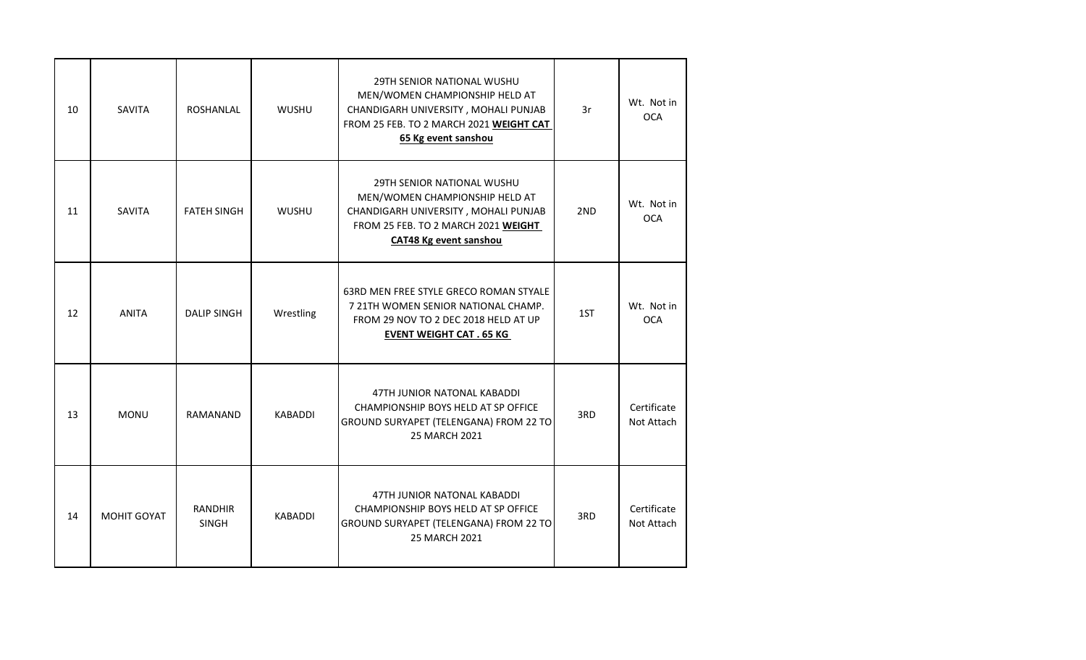| 10 | SAVITA        | <b>ROSHANLAL</b>               | <b>WUSHU</b>   | 29TH SENIOR NATIONAL WUSHU<br>MEN/WOMEN CHAMPIONSHIP HELD AT<br>CHANDIGARH UNIVERSITY, MOHALI PUNJAB<br>FROM 25 FEB. TO 2 MARCH 2021 WEIGHT CAT<br>65 Kg event sanshou       | 3r  | Wt. Not in<br><b>OCA</b>  |
|----|---------------|--------------------------------|----------------|------------------------------------------------------------------------------------------------------------------------------------------------------------------------------|-----|---------------------------|
| 11 | <b>SAVITA</b> | <b>FATEH SINGH</b>             | <b>WUSHU</b>   | <b>29TH SENIOR NATIONAL WUSHU</b><br>MEN/WOMEN CHAMPIONSHIP HELD AT<br>CHANDIGARH UNIVERSITY, MOHALI PUNJAB<br>FROM 25 FEB. TO 2 MARCH 2021 WEIGHT<br>CAT48 Kg event sanshou | 2ND | Wt. Not in<br><b>OCA</b>  |
| 12 | <b>ANITA</b>  | <b>DALIP SINGH</b>             | Wrestling      | 63RD MEN FREE STYLE GRECO ROMAN STYALE<br>7 21TH WOMEN SENIOR NATIONAL CHAMP.<br>FROM 29 NOV TO 2 DEC 2018 HELD AT UP<br><b>EVENT WEIGHT CAT . 65 KG</b>                     | 1ST | Wt. Not in<br><b>OCA</b>  |
| 13 | <b>MONU</b>   | RAMANAND                       | <b>KABADDI</b> | 47TH JUNIOR NATONAL KABADDI<br>CHAMPIONSHIP BOYS HELD AT SP OFFICE<br>GROUND SURYAPET (TELENGANA) FROM 22 TO<br>25 MARCH 2021                                                | 3RD | Certificate<br>Not Attach |
| 14 | MOHIT GOYAT   | <b>RANDHIR</b><br><b>SINGH</b> | <b>KABADDI</b> | 47TH JUNIOR NATONAL KABADDI<br>CHAMPIONSHIP BOYS HELD AT SP OFFICE<br>GROUND SURYAPET (TELENGANA) FROM 22 TO<br>25 MARCH 2021                                                | 3RD | Certificate<br>Not Attach |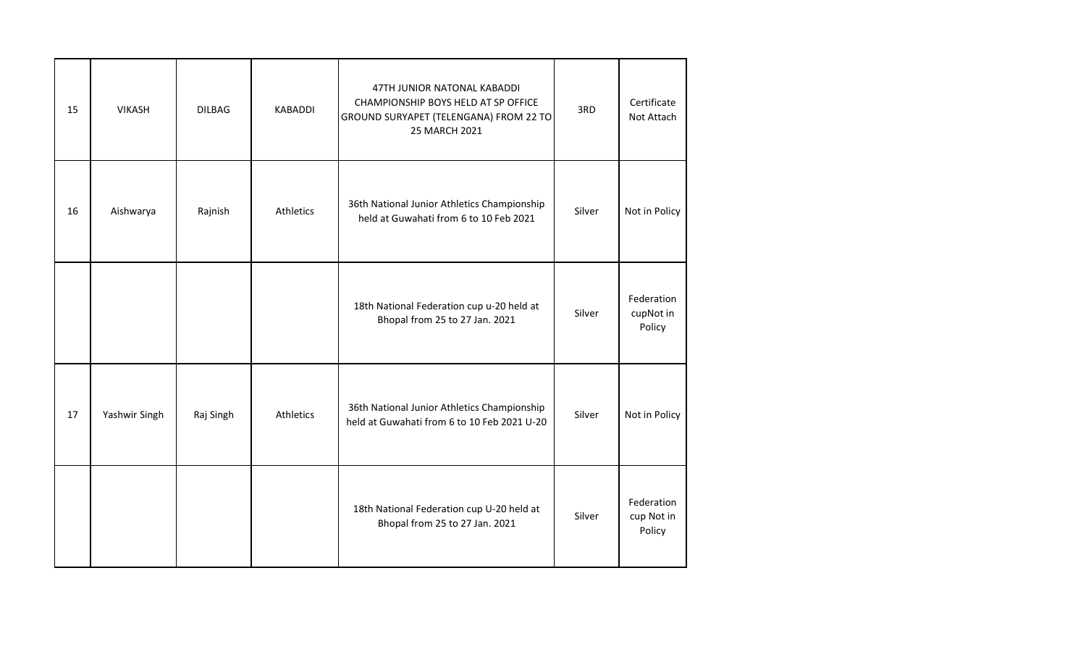| 15 | <b>VIKASH</b> | <b>DILBAG</b> | KABADDI   | 47TH JUNIOR NATONAL KABADDI<br>CHAMPIONSHIP BOYS HELD AT SP OFFICE<br>GROUND SURYAPET (TELENGANA) FROM 22 TO<br>25 MARCH 2021 | 3RD    | Certificate<br>Not Attach          |
|----|---------------|---------------|-----------|-------------------------------------------------------------------------------------------------------------------------------|--------|------------------------------------|
| 16 | Aishwarya     | Rajnish       | Athletics | 36th National Junior Athletics Championship<br>held at Guwahati from 6 to 10 Feb 2021                                         | Silver | Not in Policy                      |
|    |               |               |           | 18th National Federation cup u-20 held at<br>Bhopal from 25 to 27 Jan. 2021                                                   | Silver | Federation<br>cupNot in<br>Policy  |
| 17 | Yashwir Singh | Raj Singh     | Athletics | 36th National Junior Athletics Championship<br>held at Guwahati from 6 to 10 Feb 2021 U-20                                    | Silver | Not in Policy                      |
|    |               |               |           | 18th National Federation cup U-20 held at<br>Bhopal from 25 to 27 Jan. 2021                                                   | Silver | Federation<br>cup Not in<br>Policy |